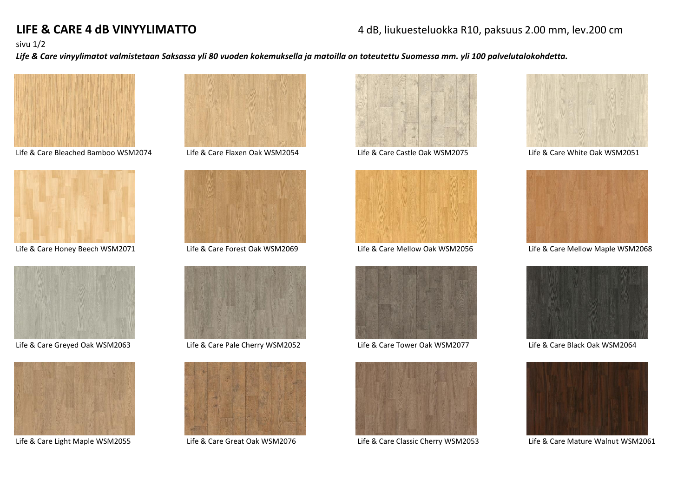# **LIFE & CARE 4 dB VINYYLIMATTO** 4 dB, liukuesteluokka R10, paksuus 2.00 mm, lev.200 cm

### sivu 1/2

*Life & Care vinyylimatot valmistetaan Saksassa yli 80 vuoden kokemuksella ja matoilla on toteutettu Suomessa mm. yli 100 palvelutalokohdetta.*



Life & Care Bleached Bamboo WSM2074 Life & Care Flaxen Oak WSM2054 Life & Care Castle Oak WSM2075 Life & Care White Oak WSM2051





Life & Care Greyed Oak WSM2063 Life & Care Pale Cherry WSM2052 Life & Care Tower Oak WSM2077 Life & Care Black Oak WSM2064



















Life & Care Light Maple WSM2055 Life & Care Great Oak WSM2076 Life & Care Classic Cherry WSM2053 Life & Care Mature Walnut WSM2061





Life & Care Honey Beech WSM2071 Life & Care Forest Oak WSM2069 Life & Care Mellow Oak WSM2056 Life & Care Mellow Maple WSM2068